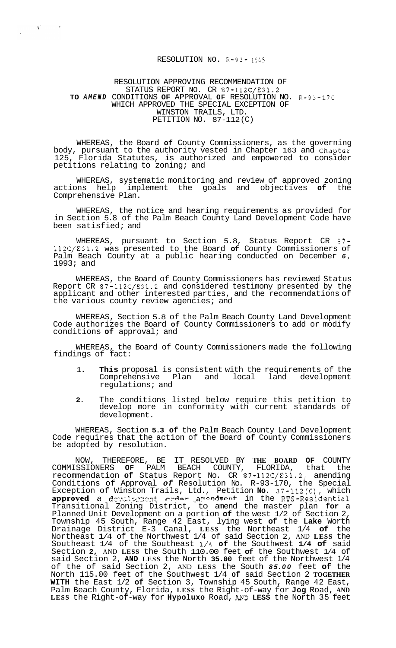## RESOLUTION NO. R-93-1545

## RESOLUTION APPROVING RECOMMENDATION OF STATUS REPORT NO. CR 87-112C/E31.2 **TO** *AMEND* CONDITIONS **OF** APPROVAL **OF** RESOLUTION NO. R-93-170 WHICH APPROVED THE SPECIAL EXCEPTION OF WINSTON TRAILS, LTD. PETITION NO. 87-112(C)

 $\mathbf{S}^{(n)}$ 

 $\sim$ 

WHEREAS, the Board **of** County Commissioners, as the governing body, pursuant to the authority vested in Chapter 163 and Chapter 125, Florida Statutes, is authorized and empowered to consider petitions relating to zoning; and

WHEREAS, systematic monitoring and review of approved zoning actions help implement the goals and objectives **of** the Comprehensive Plan.

WHEREAS, the notice and hearing requirements as provided for in Section 5.8 of the Palm Beach County Land Development Code have been satisfied; and

WHEREAS, pursuant to Section 5.8, Status Report CR 87- 112C/E31.2 was presented to the Board **of** County Commissioners of Palm Beach County at a public hearing conducted on December *6,*  1993; and

WHEREAS, the Board of County Commissioners has reviewed Status Report CR 87-112C/E31.2 and considered testimony presented by the applicant and other interested parties, and the recommendations of the various county review agencies; and

WHEREAS, Section 5.8 of the Palm Beach County Land Development Code authorizes the Board **of** County Commissioners to add or modify conditions **of** approval; and

WHEREAS, the Board of County Commissioners made the following findings of fact:

- 1. **This** proposal is consistent with the requirements of the Comprehensive Plan and local regulations; and
- **2.** The conditions listed below require this petition to develop more in conformity with current standards of development.

WHEREAS, Section **5.3 of** the Palm Beach County Land Development Code requires that the action of the Board **of** County Commissioners be adopted by resolution.

NOW, THEREFORE, BE IT RESOLVED BY **THE BOARD OF** COUNTY PALM BEACH COUNTY, FLORIDA, that recommendation **of** Status Report No. CR 87-112C/E31.2, amending Conditions of Approval *of* Resolution No. R-93-170, the Special Exception of Winston Trails, Ltd., Petition **No.** 87-112(C), which **approved** *a* devilogment order amendment in the RTS-Residential Transitional Zoning District, to amend the master plan **for** a Planned Unit Development on a portion **of** the west 1/2 of Section 2, Township 45 South, Range 42 East, lying west **of** the **Lake** Worth Drainage District E-3 Canal, **LESS** the Northeast 1/4 **of** the Northeast 1/4 of the Northwest 1/4 of said Section 2, AND **LESS** the Southeast 1/4 of the Southeast 1/4 **of** the Southwest **1/4 of** said Section **2,** AND **LESS** the South 110.00 feet **of** the Southwest 1/4 of said Section 2, **AND LESS** the North **35.00** feet of the Northwest 1/4 of the of said Section 2, AND **LESS** the South *85.00* feet **of** the North 115.00 feet of the Southwest 1/4 **of** said Section 2 **TOGETHER WITH** the East 1/2 **of** Section 3, Township 45 South, Range 42 East, Palm Beach County, Florida, **LESS** the Right-of-way for **Jog** Road, **AND LESS** the Right-of-way for **Hypoluxo** Road, *AND* **LESS** the North 35 feet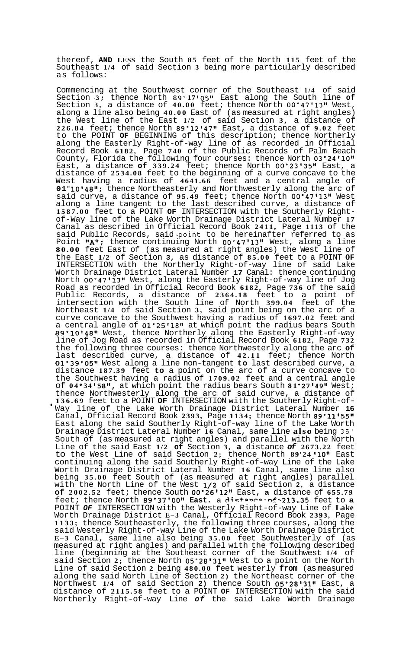thereof, **AND LESS** the South **85** feet of the North **115** feet of the Southeast **1/4** of said Section **3** being more particularly described as follows:

Commencing at the Southwest corner of the Southeast **1/4** of said Section **.3:** thence North **89" 17** *90511* East along the South line **of**  Section **3,** a distance of **40.00** feet; thence North **OO"47'13"** West, along a line also being **40.00** East of (as measured at right angles) the West line of the East **1/2** of said Section **3,** a distance of **226.84** feet; thence North **89"12t47\*9** East, a distance of **9.02** feet to the POINT **OF** BEGINNING of this description; thence Northerly along the Easterly Right-of-way line of as recorded in Official Record Book **6182,** Page **740** of the Public Records of Palm Beach County, Florida the following four courses: thence North **03"24t10"**  East, a distance **of 339.24** feet; thence North **OO"23'35"** East, a distance of **2534.08** feet to the beginning of a curve concave to the West having a radius of **4641.66** feet and a central angle of **01"10'48";** thence Northeasterly and Northwesterly along the arc of said curve, a distance of **95.49** feet; thence North **00'47'131t** West along a line tangent to the last described curve, a distance of **1587.00** feet to a POINT **OF** INTERSECTION with the Southerly Right- of-Way line of the Lake Worth Drainage District Lateral Number **<sup>17</sup>** Canal as described in Official Record Book **2411,** Page **1113** of the said Public Records, said .point to be hereinafter referred to as Point "A"; thence continuing North 00°47'13" West, along a line **80.00** feet East of (as measured at right angles) the West line of the East **1/2** of Section **3,** as distance of **85.00** feet to a POINT **OF**  INTERSECTION with the Northerly Right-of-way line of said Lake Worth Drainage District Lateral Number **17** Canal: thence continuing North **00°47'1311** West, along the Easterly Right-of-way line of Jog Road as recorded in Official Record Book **6182,** Page **736** of the said Public Records, a distance of **2364.18** feet to a point of intersection with the South line of North **399.04** feet of the Northeast **1/4** of said Section **3,** said point being on the arc of a curve concave to the Southwest having a radius of **1697.02** feet and a central angle of  $01'25'18''$  at which point the radius bears South **89°10t481t** West, thence Northerly along the Easterly Right-of-way line of Jog Road as recorded in Official Record Book **6182,** Page **732**  the following three courses: thence Northwesterly along the arc **of**  last described curve, a distance of **42.11** feet; thence North **01"39'059t** West along a line non-tangent **to** last described curve, a distance **187.39** feet **to** a point on the arc of a curve concave to the Southwest having a radius of **1709.02** feet and a central angle of **04 e 34 158tt,** at which point the radius bears South **81 \*27'49"** West; thence Northwesterly along the arc of said curve, a distance of 136.69 feet to a POINT OF INTERSECTION with the Southerly Right-of-Way line of the Lake Worth Drainage District Lateral Number 16 Canal, Official Record Book **2393,** Page **1134;** thence North **89'1115511**  East along the said Southerly Right-of-way line of the Lake Worth Drainage District Lateral Number **16** Canal, same line **also** being **35'**  South of (as measured at right angles) and parallel with the North Line of the said East **1/2 of** Section **3, a** distance *of* **2673.22** feet to the West Line of said Section 2; thence North 89'24'10" East continuing along the said Southerly Right-of-way Line of the Lake Worth Drainage District Lateral Number **16** Canal, same line also being **35.00** feet South of (as measured at right angles) parallel with the North Line of the West **1/2** of said Section **2,** a distance **of 2002.52** feet; thence South **00'26'121t** East, **a** distance of **655.79**  feet; thence North 89'37'00" East. a distance of -213.35 feet to a POINT *OF* INTERSECTION with the Westerly Right-of-way Line of **Lake**  Worth Drainage District **E-3** Canal, Official Record Book **2393,** Page **1133;** thence Southeasterly, the following three courses, along the said Westerly Right-of-way Line of the Lake Worth Drainage District **E-3** Canal, same line also being **35.00** feet Southwesterly of (as measured at right angles) and parallel with the following described line (beginning at the Southeast corner of the Southwest **1/4** of said Section 2; thence North 05°28'31" West to a point on the North Line of said Section **2** being **480.00** feet westerly **from** (as measured along the said North Line of Section **2)** the Northeast corner of the Northwest **1/4** of said Section **2)** thence South **05'281311t** East, a distance of **2115.58** feet to a POINT **OF** INTERSECTION with the said Northerly Right-of-way Line *of* the said Lake Worth Drainage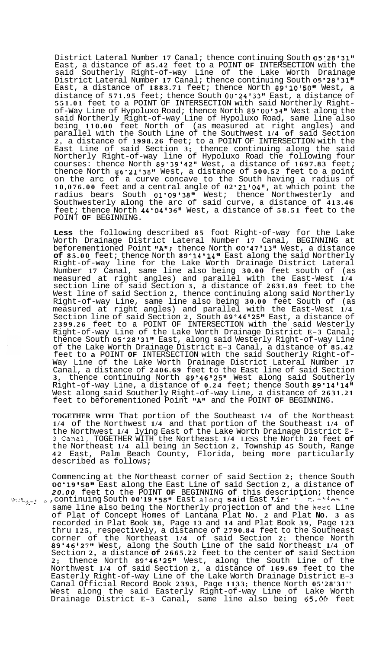District Lateral Number 17 Canal; thence continuing South 05°28'31" East, a distance of **85.42** feet to a POINT **OF** INTERSECTION with the said Southerly Right-of-way Line of the Lake Worth Drainage District Lateral Number **17** Canal; thence continuing South **05"28'31"**  East, a distance of 1883.71 feet; thence North 89'10'50" West, a distance of **571.95** feet; thence South **00"2413311** East, a distance of **551.01** feet to a POINT OF INTERSECTION with said Northerly Right- of-Way Line of Hypoluxo Road; thence North **89"0013411** West along the said Northerly Right-of-way Line of Hypoluxo Road, same line also being **110.00** feet North of (as measured at right angles) and parallel with the South Line of the Southwest **1/4 of** said Section **2,** a distance of **1998.26** feet; to a POINT OF INTERSECTION with the East Line of said Section **3;** thence continuing along the said Northerly Right-of-way line of Hypoluxo Road the following four courses: thence North **89'39'42''** West, a distance of **1697.83** feet; thence North **86°21'3811** West, a distance of **500.52** feet to a point on the arc of a curve concave to the South having a radius of **10,076.00** feet and a central angle of **02 "21'0411,** at which point the radius bears South **01'091381'** West; thence Northwesterly and Southwesterly along the arc of said curve, a distance of **413.46**  feet; thence North **44°0413611** West, a distance of **58.51** feet to the POINT **OF** BEGINNING.

**Less** the following described **85** foot Right-of-way for the Lake Worth Drainage District Lateral Number **17** Canal, BEGINNING at beforementioned Point "A"; thence North 00°47'13" West, a distance **of 85.00** feet; thence North **89 "14 11411** East along the said Northerly Right-of-way line for the Lake Worth Drainage District Lateral Number **17** Canal, same line also being **30.00** feet south of (as measured at right angles) and parallel with the East-West **1/4**  section line of said Section **3,** a distance of **2631.89** feet to the West line of said Section **2,** thence continuing along said Northerly Right-of-way Line, same line also being **30.00** feet South of (as measured at right angles) and parallel with the East-West **1/4**  Section line of said Section **2,** South **89'46'25l'** East, a distance of **2399.26** feet to a POINT OF INTERSECTION with the said Westerly Right-of-way Line of the Lake Worth Drainage District **E-3** Canal; thence South **05°2813111** East, along said Westerly Right-of-way Line of the Lake Worth Drainage District **E-3** Canal, a distance of **85.42**  feet to **a** POINT **OF** INTERSECTION with the said Southerly Right-of- Way Line of the Lake Worth Drainage District Lateral Number **<sup>17</sup>** Canal, a distance of **2406.69** feet to the East line of said Section **3,** thence continuing North **89'46'25l'** West along said Southerly Right-of-way Line, a distance of **0.24** feet; thence South **89'14'14"**  West along said Southerly Right-of-way Line, a distance of **2631.21**  feet to beforementioned Point **"A1\*** and the POINT **OF** BEGINNING.

**TOGETHER WITH** That portion of the Southeast **1/4** of the Northeast **1/4** of the Northwest **1/4** and that portion of the Southeast **1/4** of the Northwest **1/4** lying East of the Lake Worth Drainage District E-**3** Canal, TOGETHER WITH the Northeast **1/4** LESS the North **20** feet **of**  the Northeast **1/4** all being in Section **2,** Township **45** South, Range **42** East, Palm Beach County, Florida, being more particularly described as follows;

Commencing at the Northeast corner of said Section **2;** thence South **00'1915811** East along the East Line of said Section **2,** a distance of 20.00 feet to the POINT OF BEGINNING of this description; thence<br>\* continuing South 00'19'58" East along said East Lire of the Continuing South 00'19'58" East along said East same line also being the Northerly projection of and the **kesr** Line of Plat of Concept Homes of Lantana Plat No. **2** and Plat **No. 3** as recorded in Plat Book **38,** Page **13** and **14** and Plat Book **39,** Page **123**  thru **125,** respectively, a distance of **2790.84** feet to the Southeast corner of the Northeast **1/4** of said Section **2;** thence North **89°4612711** West, along the South Line of the said Northeast **1/4** of Section **2,** a distance **of 2665.22** feet to the center **of** said Section **2;** thence North **89°4612511** West, along the South Line of the Northwest **1/4** of said Section **2,** a distance of **169.69** feet to the Easterly Right-of-way Line of the Lake Worth Drainage District **E-3**  Canal Official Record Book **2393,** Page **1133;** thence North **05'28'31''**  West along the said Easterly Right-of-way Line of Lake Worth Drainage District **E-3** Canal, same line also being **65.0Q** feet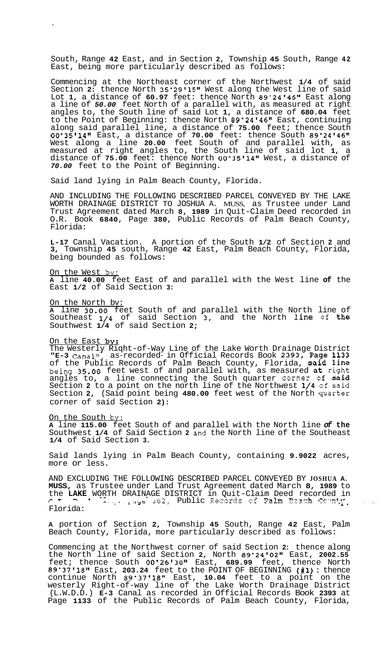South, Range **42** East, and in Section **2,** Township **45** South, Range **42**  East, being more particularly described as follows:

Commencing at the Northeast corner of the Northwest **1/4** of said Section 2: thence North 35°29'15" West along the West line of said Lot **1,** a distance of **60.97** feet: thence North **89°24'46"** East along a line of *50.00* feet North of a parallel with, as measured at right angles to, the South line of said Lot **1,** a distance of **680.04** feet to the Point of Beginning: thence North **89"24'4618** East, continuing along said parallel line, a distance of **75.00** feet; thence South **00°351148v** East, a distance of **70.00** feet: thence South **89"2414611**  West along a line **20.00** feet South of and parallel with, as measured at right angles to, the South line of said lot **1,** a distance of **75.00** feet: thence North **00"35'1481** West, a distance of *70.00* feet to the Point of Beginning.

Said land lying in Palm Beach County, Florida.

AND INCLUDING THE FOLLOWING DESCRIBED PARCEL CONVEYED BY THE LAKE WORTH DRAINAGE DISTRICT TO JOSHUA A. MUSS, as Trustee under Land Trust Agreement dated March **8, 1989** in Quit-Claim Deed recorded in O.R. Book **6840,** Page **380,** Public Records of Palm Beach County, Florida:

**L-17** Canal Vacation. A portion of the South **1/2** of Section **2** and **3,** Township **45** south, Range **42** East, Palm Beach County, Florida, being bounded as follows:

On the West by:

 $\sim$   $\bullet$ 

**A** line **40.00** feet East of and parallel with the West line **of** the East **1/2** of Said Section **3:** 

On the North bv:

**A** line **30.00** feet South of and parallel with the North line of Southeast **1/4** of said Section **-3,** and the North line of the Southwest **1/4** of said Section **2;** 

On the East by:

The Westerly Riqht-of-Way Line of the Lake Worth Drainage District **"E-3** Canal"; as-recorded- in Official Records Book **2393,** Page **<sup>1133</sup>** of the Public Records of Palm Beach County, Florida, said line being **35.00** feet west of and parallel with, as measured at right angles to, a line connecting the South quarter corner of said Section **2** to a point on the north line of the Northwest **1/4** of said Section **2,** (Said point being **480.00** feet west of the North quarter corner of said Section **2):** 

On the South by:

**A** line **115.00** feet South of and parallel with the North line *of* **the**  Southwest **1/4** of Said Section **2** ind the North line of the Southeast **1/4** of Said Section **3.** 

Said lands lying in Palm Beach County, containing **9.9022** acres, more or less.

AND EXCLUDING THE FOLLOWING DESCRIBED PARCEL CONVEYED BY **JOSHUA A. MUSS,** as Trustee under Land Trust Agreement dated March **8, 1989** to the LAKE WORTH DRAINAGE DISTRICT in Quit-Claim Deed recorded in<br> **Property Arts Aready 202, Public Records of Palm Beach County** Florida:

**A** portion of Section **2,** Township **45** South, Range **42** East, Palm Beach County, Florida, more particularly described as follows:

Commencing at the Northwest corner of said Section **2:** thence along the North line of said Section 2, North 89°24'02" East, 2002.55 feet; thence South **00°26'3011** East, **689.99** feet, thence North **89'37'1818** East, **203.24** feet to the POINT OF BEGINNING **(#1)** : thence continue North 89°37'18" East, 10.04 feet to a point on the westerly Right-of-way line of the Lake Worth Drainage District (L.W.D.D.) **E-3** Canal as recorded in Official Records Book **2393** at Page **1133** of the Public Records of Palm Beach County, Florida,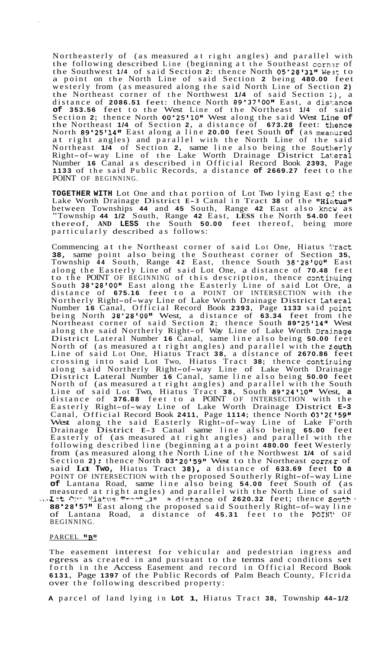Northeasterly of (as measured at right angles) and parallel with the following described Line (beginning at the Southeast corner of the Southwest **1/4** of said Section **2:** thence North **05'2813111** West to a point on the North Line of said Section **2** being **480.00** feet westerly from (as measured along the said North Line of Section **2)**  the Northeast corner of the Northwest 1/4 of said Section :), a distance of **2086.51** feet: thence North **89"3710011** East, a dis1:ance **of 353.56** feet to the West Line of the Northeast **1/4** of said Section 2; thence North 00°25'10" West along the said West Line of the Northeast **1/4** of Section **2,** a distance of **673.28** feet: tilence North 89°25'14" East along a line 20.00 feet South of (as measured at right angles) and parallel with the North Line of the said Northeast 1/4 of Section 2, same line also being the Southerly Right-of-way Line of the Lake Worth Drainage District Lateral Number **16** Canal as described in Official Record Book **2393,** Page **1133** of the said Public Records, a distance **of 2669.27** feet to the POINT OF BEGINNING.

**TOGETHER WITH** Lot One and that portion of Lot Two lying East *0::* the Lake Worth Drainage District E-3 Canal in Tract 38 of the "Hiatus" between Townships 44 and 45 South, Range 42 East also kncw as between Townships **44** and **45** South, Range **42** East also kncw as "Township **44 1/2** South, Range **42** East, **LESS** the North **54.00** feet thereof, **AND LESS** the South **50.00** feet thereof, being more thereof, AND LESS the South 50<br>particularly described as follows:

Commencing at the Northeast corner of said Lot One, Hiatus Tract **38,** same point also being the Southeast corner of Section **35,**  Township **44** South, Range **42** East, thence South **38'2810011** East along the Easterly Line of said Lot One, a distance of **70.48** feet to the POINT OF BEGINNING of this description, thence contiruing South 38°28'00" East along the Easterly Line of said Lot Ore, a distance of **675.16** feet to a POINT OF INTERSECTION with the Northerly Right-of-way Line of Lake Worth Drainage District Lateral Number 16 Canal, Official Record Book 2393, Page 1133 said point being North **38"28'0081** West, a distance of **63.34** feet from the Northeast corner of said Section 2; thence South 89°25'14" West<br>along the said Northerly Right-of Way Line of Lake Worth Drainage District Lateral Number **16** Canal, same line also being **50.00** feet North of (as measured at right angles) and parallel with the south Line of said Lot One, Hiatus Tract **38,** a distance of **2670.86** feet crossing into said Lot Two, Hiatus Tract **38;** thence contiruing along said Northerly Right-of-way Line of Lake Worth Drainage District Lateral Number **16** Canal, same line also being **50.00** feet North of (as measured at right angles) and parallel with the South Line of said Lot Two, Hiatus Tract **38,** South **89"24v1011** West, **a**  distance of **376.88** feet to a POINT OF INTERSECTION with the Easterly Right-of-way Line of Lake Worth Drainage District **E-3**  Canal, Official Record Book 2411, Page 1114; thence North 03°2C'59"<br>West along the said Easterly Right-of-way Line of Lake F'orth Drainage District **E- <sup>3</sup>**Canal same line also being **65.00** feet Easterly of (as measured at right angles) and parallel with the following described line (beginning at a point **480.00** feet Westerly from (as measured along the North Line of the Northwest **1/4** of said Section **2)**; thence North **03°20'59"** West to the Northeast corner of said Lot **Two,** Hiatus Tract **38),** a distance of **633.69** feet **to a**  POINT OF INTERSECTION with the proposed Southerly Right-of-way Line **of** Lantana Road, same line also being **54.00** feet South of (as measured at right angles) and parallel with the North Line of said ... Jet  $O_{\mathbb{P}}$  Hiatus Treat, 3<sup>9</sup> *3. distance of 2620.32 feet*; thence **South 88 28 157"'** East along the proposed said Southerly Right-of-way line of Lantana Road, a distance of **45.31** feet to the POINl' OF BEGINNING.

PARCEL "B"

The easement interest for vehicular and pedestrian ingress and egress as created in and pursuant to the terms and conditions set forth in the Access Easement and record in Official Record Book **6131,** Page **1397** of the Public Records of Palm Beach County, Flcrida over the following described property:

**A** parcel of land lying in **Lot 1,** Hiatus Tract **38,** Township **44-1/2**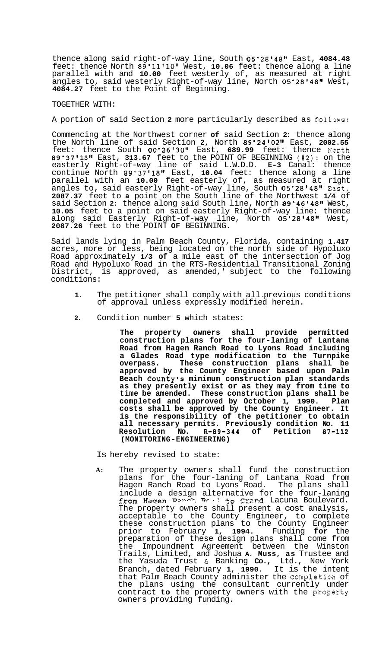thence along said right-of-way line, South 05°28'48" East, 4084.48 feet: thence North **89"ll'lO''** West, **10.06** feet: thence along a line parallel with and **10.00** feet westerly of, as measured at right angles to, said westerly Right-of-way line, North **05"28'481g** West, **4084.27** feet to the Point of Beginning.

## TOGETHER WITH:

A portion of said Section 2 more particularly described as follows:

Commencing at the Northwest corner **of** said Section **2:** thence along the North line of said Section **2,** North **89'24'0211** East, **2002.55**  feet: thence South 00°26'30" East, 689.99 feet: thence North **89"3711811** East, **313.67** feet to the POINT OF BEGINNING **(#2):** on the easterly Right-of-way line of said L.W.D.D. **E-3** Canal: thence continue North **89°37'1811** East, **10.04** feet: thence along a line parallel with an **10.00** feet easterly of, as measured at right angles to, said easterly Right-of-way line, South **05"28'48g1** East, **2087.37** feet to **a** point on the South line of the Northwest **1/4** of said Section **2:** thence along said South line, North **89'46'48''** West, **10.05** feet to a point on said easterly Right-of-way line: thence along said Easterly Right-of-way line, North **05"2814811** West, **2087.26** feet to the POINT **OF** BEGINNING.

Said lands lying in Palm Beach County, Florida, containing **1.417**  acres, more or less, being located on the north side of Hypoluxo Road approximately **1/3 of** a mile east of the intersection of Jog Road and Hypoluxo Road in the RTS-Residential Transitional Zoning District, is approved, as amended,' subject to the following conditions:

- **1.** The petitioner shall comply with all. previous conditions of approval unless expressly modified herein.
- **2.** Condition number **5** which states:

**The property owners shall provide permitted construction plans for the four-laning of Lantana Road from Hagen Ranch Road to Lyons Road including a Glades Road type modification to the Turnpike overpass. These construction plans shall be approved by the County Engineer based upon Palm Beach County's minimum construction plan standards as they presently exist or as they may from time to time be amended. These construction plans shall be completed and approved by October 1, 1990. Plan costs shall be approved by the County Engineer. It is the responsibility of the petitioner to obtain all necessary permits. Previously condition No. 11 Resolution No. R-89-344 of Petition 87-112 (MONITORING-ENGINEERING)** 

Is hereby revised to state:

**A:** The property owners shall fund the construction plans for the four-laning of Lantana Road from Hagen Ranch Road to Lyons Road. The plans shall include a design alternative for the four-laning from Hagen Ranch Rough to Crand Lacuna Boulevard. The property owners shall present a cost analysis, acceptable to the County Engineer, to complete these construction plans to the County Engineer prior to February **1, 1994.** Funding **for** the preparation of these design plans shall come from the Impoundment Agreement between the Winston Trails, Limited, and Joshua **A. Muss, as** Trustee and the Yasuda Trust & Banking **Co.,** Ltd., New York Branch, dated February **1, 1990.** It is the intent that Palm Beach County administer the completion of the plans using the consultant currently under contract to the property owners with the property owners providing funding.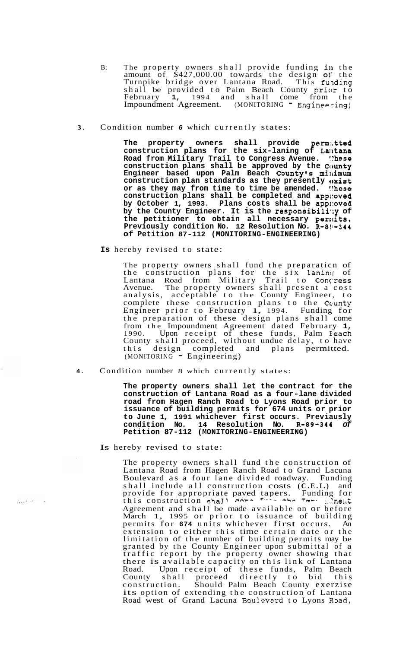- B: The property owners shall provide funding in the amount of \$427,000.00 towards the design **01'** the Turnpike bridge over Lantana Road. This funding shall be provided to Palm Beach County prior to February **1,** 1994 and shall come from the Impoundment Agreement. (MONITORING - Engineering)
- **3.** Condition number *6* which currently states:

**The property owners shall provide permitted construction plans for the six-laning of La~ltana Road from Military Trail to Congress Avenue. !?hese construction plans shall be approved by the County**  Engineer based upon Palm Beach County's millimum **construction plan standards as they presently oxist or as they may from time to time be amended. :!hese construction plans shall be completed and app1:oved by October 1, 1993. Plans costs shall be app1:oved by the County Engineer. It is the responsibi1if:y of the petitioner to obtain all necessary penkits.**  Previously condition No. 12 Resolution No. R-8!-344 **of Petition 87-112 (MONITORING-ENGINEERING)** 

**Is** hereby revised to state:

The property owners shall fund the preparaticn of the construction plans for the six laning of Lantana Road from Military Trail to Concress Avenue. The property owners shall present a cost analysis, acceptable to the County Engineer, to complete these construction plans to the County Engineer prior to February 1, 1994. Funding for the preparation of these design plans shall come from the Impoundment Agreement dated February **1,**  1990. Upon receipt of these funds, Palm Feach County shall proceed, without undue delay, to have this design completed and plans permitted. (MONITORING - Engineering)

**4.** Condition number 8 which currently states:

**The property owners shall let the contract for the construction of Lantana Road as a four-lane divided road from Hagen Ranch Road to Lyons Road prior to issuance of building permits for 674 units or prior to June 1, 1991 whichever first occurs. Previausly condition No. 14 Resolution No. R-89-344** *of*  **Petition 87-112 (MONITORING-ENGINEERING)** 

Is hereby revised to state:

 $\tau_{\alpha}$  ,  $\tau_{\gamma}$  ,

The property owners shall fund the construction of Lantana Road from Hagen Ranch Road to Grand Lacuna Boulevard as a four lane divided roadway. Funding shall include all construction costs **(C.E.I.)** and provide for appropriate paved tapers. Funding for this construction shaJl **-nVr** '. *khm* **-m-.** ::.'me;;t Agreement and shall be made available on or before Agreement and strait be made available on Or before<br>March 1, 1995 or prior to issuance of building permits for **674** units whichever first occurs. An extension to either this time certain date or the limitation of the number of building permits may be granted by the County Engineer upon submittal of a traffic report by the property owner showing that there is available capacity on this link of Lantana Road. Upon receipt of these funds, Palm Beach County shall proceed directly to bid this construction. Should Palm Beach County exerzise its option of extending the construction of Lantana Road west of Grand Lacuna Boulevard to Lyons Road,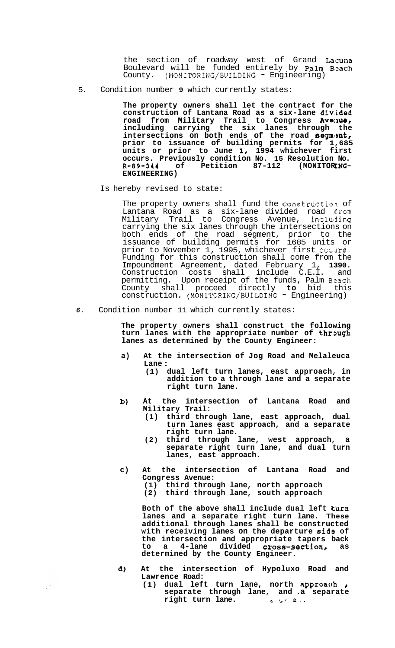the section of roadway west of Grand Lacuna Boulevard will be funded entirely by Palm Blzach County. (MONITORING/BUILDING - Engineering)

5. Condition number **9** which currently states:

**The property owners shall let the contract for the construction of Lantana Road as a six-lane divided**  road from Military Trail to Congress **Ave:ue, including carrying the six lanes through the**  intersections on both ends of the road segment, **prior to issuance of building permits for 1,685 units or prior to June 1, 1994 whichever first occurs. Previously condition No. 15 Resolution No.**  R-89-344 of Petition 87-112 (MONITORING-**ENGINEERING)** 

Is hereby revised to state:

The property owners shall fund the construction of Lantana Road as a six-lane divided road Erom Military Trail to Congress Avenue, incluljing carrying the six lanes through the intersections on both ends of the road segment, prior to the issuance of building permits for 1685 units or prior to November 1, 1995, whichever first occurs. Funding for this construction shall come from the Impoundment Agreement, dated February 1, **1390.**  Construction costs shall include C.E.I. and permitting. Upon receipt of the funds, Palm Bzach County shall proceed directly **to** bid this construction. (MONITORING/BUILDING - Engineering)

*6.* Condition number 11 which currently states:

**The property owners shall construct the following**  turn lanes with the appropriate number of through **lanes as determined by the County Engineer:** 

- **a) At the intersection of Jog Road and Melaleuca Lane** :
	- **(1) dual left turn lanes, east approach, in addition to a through lane and a separate right turn lane.**
- **b) At the intersection of Lantana Road and Military Trail:** 
	- **(1) third through lane, east approach, dual turn lanes east approach, and a separate right turn lane.**
	- **(2) third through lane, west approach, a separate right turn lane, and dual turn lanes, east approach.**
- **c) At the intersection of Lantana Road and Congress Avenue: (1) third through lane, north approach (2) third through lane, south approach**

**Both of the above shall include dual left turn lanes and a separate right turn lane. These additional through lanes shall be constructed with receiving lanes on the departure aide of the intersection and appropriate tapers back**  to a 4-lane divided **cross-section**, as **determined by the County Engineer.** 

**d) At the intersection of Hypoluxo Road and Lawrence Road:** 

 $\mathbb{R}^3$ 

**(1) dual left turn lane, north approach** *<sup>8</sup>* **separate through lane, and .a separate right turn lane. c** *z z a*.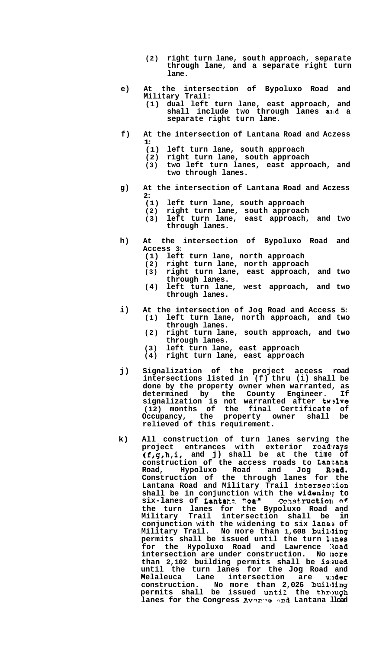- **(2) right turn lane, south approach, separate through lane, and a separate right turn lane.**
- **e) At the intersection of Bypoluxo Road and Military Trail:** 
	- **(1) dual left turn lane, east approach, and shall include two through lanes aIrd a separate right turn lane.**
- **f) At the intersection of Lantana Road and Aczess 1:** 
	- **(1) left turn lane, south approach**
	- **(2) right turn lane, south approach**
	- **(3) two left turn lanes, east approach, and two through lanes.**
- **g) At the intersection of Lantana Road and Aczess**   $\frac{2:}{(1)}$ 
	- **(1) left turn lane, south approach**
	- **(2) right turn lane, south approach**
	- **(3) left turn lane, east approach, and two through lanes.**
- **h) At the intersection of Bypoluxo Road and Access 3:** 
	- **(1) left turn lane, north approach**
	- **(2) right turn lane, north approach**
	- **(3) right turn lane, east approach, and two through lanes.**
	- **(4) left turn lane, west approach, and two through lanes.**
- **i) At the intersection of Jog Road and Access 5: (1) left turn lane, north approach, and two through lanes.** 
	- **(2) right turn lane, south approach, and two through lanes.**
	- **(3) left turn lane, east approach**
	- **(4) right turn lane, east approach**
- **j) Signalization of the project access road intersections listed in (f) thru (i) shall be done by the property owner when warranted, as determined by the County Engineer. If signalization is not warranted after twslve (12) months of the final Certificate of Occupancy, the property owner shall be relieved of this requirement.**
- **k) All construction of turn lanes serving the project entrances with exterior roadrays (f,g,h,i, and j) shall be at the time of construction of the access roads to Lan'Lana**  Road, Hypoluxo Road and Jog Road. **Construction of the through lanes for the Lantana Road and Military Trail intersec.:ion**  shall be in conjunction with the widening to  $\texttt{six-lanes}$  of Lantant Roa<sup>s</sup> . Construction of **the turn lanes for the Bypoluxo Road and Military Trail intersection shall be in conjunction with the widening to six laneis of Military Trail. No more than 1,608 buililing permits shall be issued until the turn Lrnes for the Hypoluxo Road and Lawrence :toad intersection are under construction. No lnore than 2,102 building permits shall be issued until the turn lanes for the Jog Road and Melaleuca Lane intersection are u:lder construction. No more than 2,026 buillling permits shall be issued until the through lanes for the Congress Avenue and Lantana lload**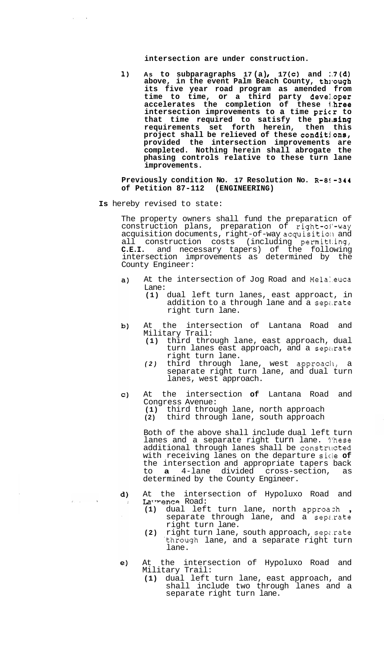**intersection are under construction.** 

1) As to subparagraphs 17(a), 17(c) and :7(d) above, in the event Palm Beach County, through **its five year road program as amended from time to time, or a third party devel.oper accelerates the completion of these l.hree intersection improvements to a time pricr to**  that time required to satisfy the phasing **requirements set forth herein, then this project shall be relieved of these conditi.ons, provided the intersection improvements are completed. Nothing herein shall abrogate the phasing controls relative to these turn lane improvements.** 

**Previously condition No. 17 Resolution No. R-8!-344 of Petition 87-112 (ENGINEERING)** 

**Is** hereby revised to state:

The property owners shall fund the preparaticn of construction plans, preparation of right-ol-way acquisition documents, right-of-way acquisition and all construction costs (including permitl.ing, **C.E.I.** and necessary tapers) of the following intersection improvements as determined by the County Engineer:

- At the intersection of Jog Road and Melaleuca  $a)$ Lane:
	- **(1)** dual left turn lanes, east approact, in addition to a through lane and a separate right turn lane.
- At the intersection of Lantana Road and b) Military Trail:
	- **(1)** third through lane, east approach, dual turn lanes east approach, and a separate right turn lane.
	- *(2)* third through lane, west approacll, a separate right turn lane, and dual turn lanes, west approach.
- At the intersection **of** Lantana Road and  $\mathbf{C}$ Congress Avenue: **(1)** third through lane, north approach **(2)** third through lane, south approach

Both of the above shall include dual left turn lanes and a separate right turn lane. l'hese additional through lanes shall be constructed with receiving lanes on the departure sicie **of**  the intersection and appropriate tapers back<br>to **a** 4-lane divided cross-section, as to **a** 4-lane divided cross-section, as determined by the County Engineer.

- d) At the intersection of Hypoluxo Road and Lawrence Road:  $\rightarrow$ 
	- **(1)** dual left turn lane, north approazh , separate through lane, and a sepz.rate right turn lane.
	- **(2)** right turn lane, south approach, sepz.rate .through lane, and a separate right turn lane.
- At the intersection of Hypoluxo Road and  $e)$ Military Trail:
	- **(1)** dual left turn lane, east approach, and shall include two through lanes and a separate right turn lane.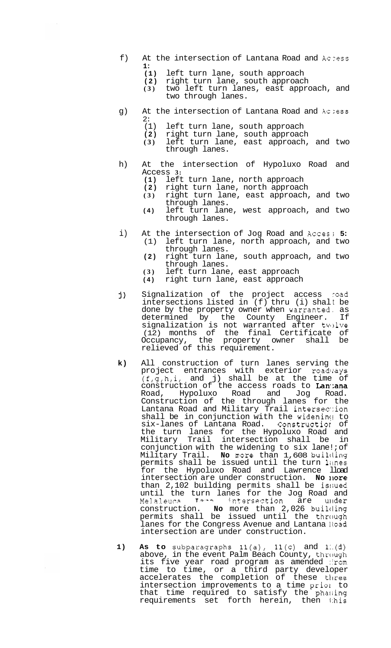- f) At the intersection of Lantana Road and Aczess **1:** 
	- **(1)** left turn lane, south approach
	- (2) right turn lane, south approach<br>
	(3) two left turn lanes, east appro
	- **(3)** two left turn lanes, east approach, and two through lanes.
- g) At the intersection of Lantana Road and Aczess  $2:$ <br>(1)
	- (1) left turn lane, south approach<br>(2) right turn lane, south approach
	- **(2)** right turn lane, south approach
	- **(3)** left turn lane, east approach, and two through lanes.
- h) At the intersection of Hypoluxo Road and Access **3:** 
	- **(1)** left turn lane, north approach
	- **(2)** right turn lane, north approach
	- **(3)** right turn lane, east approach, and two through lanes.
	- **(4)** left turn lane, west approach, and two through lanes.
- i) At the intersection of Jog Road and Acces; 5:<br>(1) left turn lane, north approach, and two left turn lane, north approach, and two
	- **(2)** right turn lane, south approach, and two through lanes. through lanes.
	-
	- **(3)** left turn lane, east approach **(4)** right turn lane, east approach
- j) Signalization of the project access road intersections listed in (f) thru (i) shalt be done by the property owner when warranted, as determined by the County Engineer. If signalization is not warranted after twelve (12) months of the final Certificate of Occupancy, the property owner shall be relieved of this requirement.
- **k)** All construction of turn lanes serving the pro ject entrances with exterior roadvays  $(f,g,h,i,$  and j) shall be at the time of construction of the access roads to Lan.ana Road, Hypoluxo Road and Jog Road. Construction of the through lanes for the Lantana Road and Military Trail intersec.:ion shall be in conjunction with the widening to<br>six-lanes of Lantana Road. Construction of six-lanes of Lantana Road. the turn lanes for the Hypoluxo Road and Military Trail intersection shall be in conjunction with the widening to six lane!; of Military Trail. **No** more than 1,608 builcling permits shall be issued until the turn limes for the Hypoluxo Road and Lawrence lload intersection are under construction. No **nore** than 2,102 building permits shall be issued until the turn lanes for the Jog Road and Melaleucp **T---** intersection are ultder construction. **No** more than 2,026 builtling permits shall be issued until the through lanes for the Congress Avenue and Lantana Road intersection are under construction.
- **1) As to** subparagraphs ll(a), ll(c) and l:.(d) above, in the event Palm Beach County, through its five year road program as amended from time to time, or a third party developer accelerates the completion of these tlree intersection improvements to a time prior to that time required to satisfy the phasing requirements set forth herein, then 1:his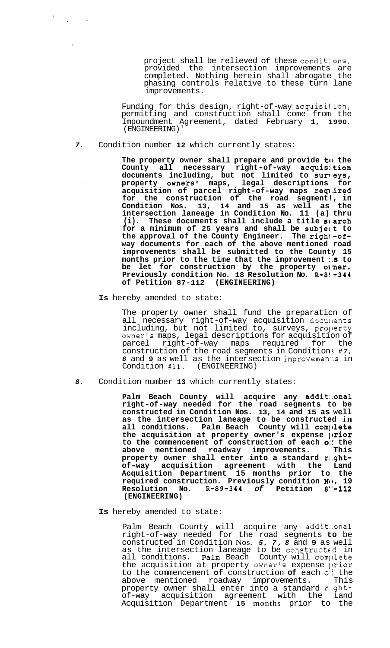project shall be relieved of these conditjons, provided the intersection improvements are completed. Nothing herein shall abrogate the phasing controls relative to these turn lane improvements.

Funding for this design, right-of-way acquisit.ion, permitting and construction shall come from the Impoundment Agreement, dated February **1, 1990.**  (ENGINEERING)'

*7.* Condition number **12** which currently states:

**The property owner shall prepare and provide to the County all necessary right-of-way acquisi tion documents including, but not limited to sun'eys, property owners' maps, legal descriptions for**  acquisition of parcel right-of-way maps required **for the construction of the road segment!, in Condition Nos. 13, 14 and 15 as well as the intersection laneage in Condition No. 11 (a) thru**  (i). These documents shall include a title soarch **for a minimum of 25 years and shall be subject to the approval of the County Engineer. The righi.-ofway documents for each of the above mentioned road improvements shall be submitted to the County 15 months prior to the time that the improvement :.s to**  be let for construction by the property owner. **Previously condition No. 18 Resolution No. R-8!1-344 of Petition 87-112 (ENGINEERING)** 

**Is** hereby amended to state:

The property owner shall fund the preparaticn of all necessary right-of-way acquisition documents including, but not limited to, surveys, property owner's maps, legal descriptions for acquisition of parcel right-of-way maps required for the construction of the road segments in Condition ; *#7, 8* and 9 as well as the intersection improvements in Condition #11. (ENGINEERING) Condition #11.

*8.* Condition number **13** which currently states:

**Palm Beach County will acquire any addit:.onal right-of-way needed for the road segments to be constructed in Condition Nos. 13, 14 and 15 as well as the intersection laneage to be constructed in**  all conditions. Palm Beach County will compl**ete** the acquisition at property owner's expense *prior* **to the commencement of construction of each** *0::* **the above mentioned roadway improvements. This property owner shall enter into a standard r:.ghtof-way acquisition agreement with the Land Acquisition Department 15 months prior to the required construction. Previously condition No. 19 Resolution No. R-89-344** *of* **Petition 8:'-112 (ENGINEERING)** 

**Is** hereby amended to state:

Palm Beach County will acquire any addit:.onal right-of-way needed for the road segments **to** be constructed in Condition Nos. *5, 7, 8* and **9** as well as the intersection laneage to be constructed in all conditions. Palm Beach County will complete the acquisition at property owner's expense prior to the commencement **of** construction **of** each *0::* the above mentioned roadway improvements. This property owner shall enter into a standard r.ght-<br>of-way acquisition agreement with the Land acquisition agreement with the Land Acquisition Department **15** months prior to the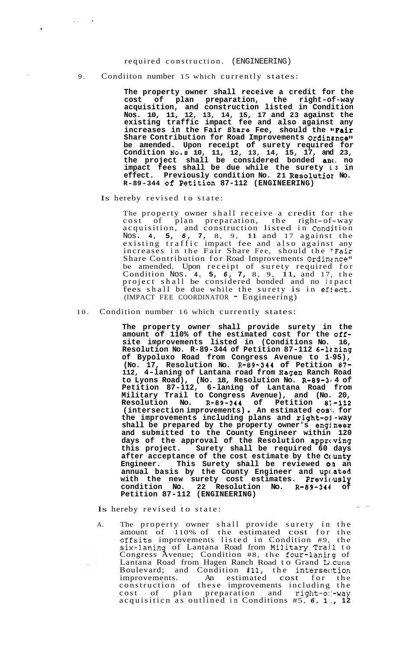## required construction. (ENGINEERING)

9. Condiiton number 15 which currently states:

**The property owner shall receive a credit for the cost of plan preparation, the right-of-way acquisition, and construction listed in Condition Nos. 10, 11, 12, 13, 14, 15, 17 and 23 against the existing traffic impact fee and also against any**  increases in the Fair Share Fee, should the "Fair Share Contribution for Road Improvements Ordinance" **be amended. Upon receipt of surety required for Condition No.s 10, 11, 12, 13, 14, 15, 17, and 23, the project shall be considered bonded anc, no impact fees shall be due while the surety i3 in effect. Previously condition No. 21 Resolutior No. R-89-344 Of Petition 87-112 (ENGINEERING)** 

Is hereby revised to state:

 $\hat{z}$  ,  $\hat{z}$  ,  $\hat{z}$ 

The property owner shall receive a credit for the The property owner shall receive a credit for the<br>cost of plan preparation, the right-of-way acquisition, and construction listed in Condition Nos. **4, 5,** *6,* **7,** 8, 9, 11 and 17 against the existing traffic impact fee and also against any increases in the Fair Share Fee, should the ''Fair Share Contribution for Road Improvements Ordinance" be amended. Upon receipt of surety required for Condition Nos. **4, 5,** *6,* **7,** 8, 9, 11, and 17, the project shall be considered bonded and no in pact project shall be considered bonded and no impact (IMPACT FEE COORDINATOR - Engineering)

10. Condition number 16 which currently states:

**The property owner shall provide surety in the amount of 110% of the estimated cost for the offsite improvements listed in (Conditions No. 16, Resolution No. R-89-344 of Petition 87-112 6-lrning of Bypoluxo Road from Congress Avenue to 1-95), (No. 17, Resolution No. R-89-344 of Petition 87- 112, 4-laning of Lantana road from Bagen Ranch Road**  to Lyons Road), (No. 18, Resolution No. R-89-3<sup>,</sup> 4 of **Petition 87-112, 6-laning of Lantana Road from Military Trail to Congress Avenue), and (No. 20, Resolution No. R-89-344 of Petition 8i-112 (intersection improvements)** . **An estimated cosi; for the improvements including plans and right-ol -way shall be prepared by the property owner's engineer and submitted to the County Engineer within 120 days of the approval of the Resolution apprclving this project. Surety shall be required 60 days after acceptance of the cost estimate by the Cclunty**  Engineer. This Surety shall be reviewed **01** an **annual basis by the County Engineer and upc,ated with the new surety cost estimates. Previcusly condition No. 22 Resolution No. R-89-344 of Petition 87-112 (ENGINEERING)** 

 $\mathcal{L}_\bullet$  ,  $\mathcal{L}_\bullet$ 

Is hereby revised to state:

A. The property owner shall provide surety in the amount of 110% of the estimated cost for the offsite improvements listed in Condition #9, the six-1.aning of Lantana Road from Military Trajl to Congress Avenue; Condition #8, the four-lanirg of Lantana Road from Hagen Ranch Road to Grand Lacuna Boulevard; and Condition #11, the intersection improvements. An estimated cost for the construction of these improvements including the cost of plan preparation and right-of-way acquisiticn as outlined in Conditions #5, *6,* **l'., 12**